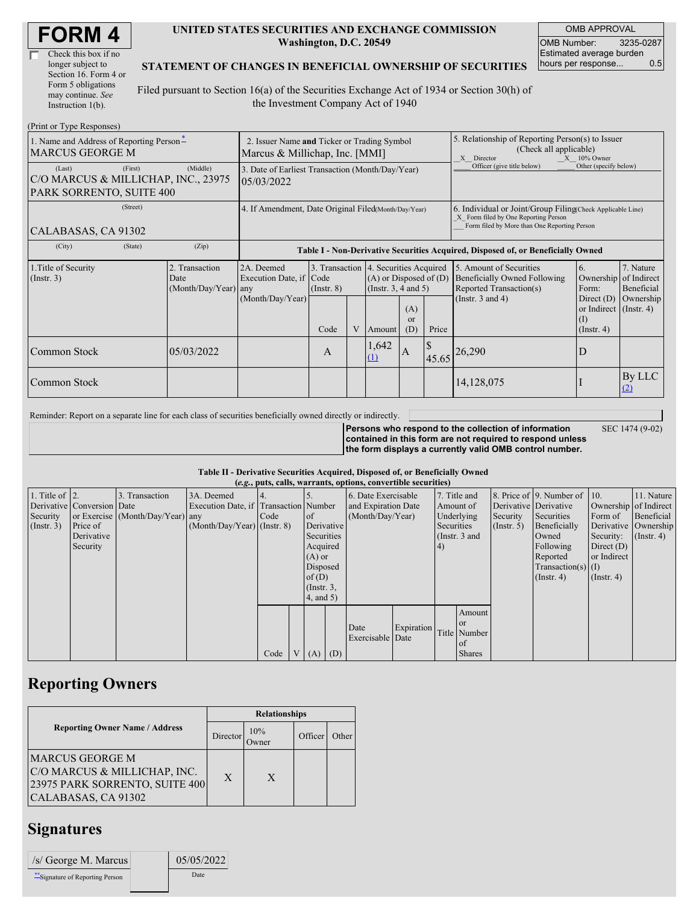| Check this box if no  |
|-----------------------|
| longer subject to     |
| Section 16. Form 4 or |
| Form 5 obligations    |
| may continue. See     |
| Instruction 1(b).     |

### **UNITED STATES SECURITIES AND EXCHANGE COMMISSION Washington, D.C. 20549**

OMB APPROVAL OMB Number: 3235-0287 Estimated average burden hours per response... 0.5

### **STATEMENT OF CHANGES IN BENEFICIAL OWNERSHIP OF SECURITIES**

Filed pursuant to Section 16(a) of the Securities Exchange Act of 1934 or Section 30(h) of the Investment Company Act of 1940

| (Print or Type Responses)                                                            |                                                                               |                                                                                  |                                                                  |   |                                                                  |                        |                                                                                                                                                    |                                                                                                             |                                                                                                           |                                      |
|--------------------------------------------------------------------------------------|-------------------------------------------------------------------------------|----------------------------------------------------------------------------------|------------------------------------------------------------------|---|------------------------------------------------------------------|------------------------|----------------------------------------------------------------------------------------------------------------------------------------------------|-------------------------------------------------------------------------------------------------------------|-----------------------------------------------------------------------------------------------------------|--------------------------------------|
| 1. Name and Address of Reporting Person-<br><b>MARCUS GEORGE M</b>                   | 2. Issuer Name and Ticker or Trading Symbol<br>Marcus & Millichap, Inc. [MMI] |                                                                                  |                                                                  |   |                                                                  |                        | 5. Relationship of Reporting Person(s) to Issuer<br>(Check all applicable)<br>X Director<br>$X = 10\%$ Owner                                       |                                                                                                             |                                                                                                           |                                      |
| (First)<br>(Last)<br>C/O MARCUS & MILLICHAP, INC., 23975<br>PARK SORRENTO, SUITE 400 | 3. Date of Earliest Transaction (Month/Day/Year)<br>05/03/2022                |                                                                                  |                                                                  |   |                                                                  |                        | Officer (give title below)                                                                                                                         | Other (specify below)                                                                                       |                                                                                                           |                                      |
| (Street)<br>CALABASAS, CA 91302                                                      | 4. If Amendment, Date Original Filed(Month/Day/Year)                          |                                                                                  |                                                                  |   |                                                                  |                        | 6. Individual or Joint/Group Filing Check Applicable Line)<br>X Form filed by One Reporting Person<br>Form filed by More than One Reporting Person |                                                                                                             |                                                                                                           |                                      |
| (City)<br>(State)                                                                    | (Zip)                                                                         | Table I - Non-Derivative Securities Acquired, Disposed of, or Beneficially Owned |                                                                  |   |                                                                  |                        |                                                                                                                                                    |                                                                                                             |                                                                                                           |                                      |
| 1. Title of Security<br>$($ Instr. 3 $)$                                             | 2. Transaction<br>Date<br>(Month/Day/Year) any                                | 2A. Deemed<br>Execution Date, if Code<br>(Month/Day/Year)                        | 3. Transaction 4. Securities Acquired<br>$($ Instr. $8)$<br>Code | V | $(A)$ or Disposed of $(D)$<br>(Instr. $3, 4$ and $5$ )<br>Amount | (A)<br>$\alpha$<br>(D) | Price                                                                                                                                              | 5. Amount of Securities<br>Beneficially Owned Following<br>Reported Transaction(s)<br>(Instr. $3$ and $4$ ) | 6.<br>Ownership of Indirect<br>Form:<br>Direct $(D)$<br>or Indirect (Instr. 4)<br>(I)<br>$($ Instr. 4 $)$ | 7. Nature<br>Beneficial<br>Ownership |
| Common Stock                                                                         | 05/03/2022                                                                    |                                                                                  | A                                                                |   | .642<br>(1)                                                      | ΙA.                    | 45.65                                                                                                                                              | 26,290                                                                                                      | D                                                                                                         |                                      |
| Common Stock                                                                         |                                                                               |                                                                                  |                                                                  |   |                                                                  |                        |                                                                                                                                                    | 14,128,075                                                                                                  |                                                                                                           | By LLC<br>(2)                        |

Reminder: Report on a separate line for each class of securities beneficially owned directly or indirectly.

SEC 1474 (9-02)

**Persons who respond to the collection of information contained in this form are not required to respond unless the form displays a currently valid OMB control number.**

### **Table II - Derivative Securities Acquired, Disposed of, or Beneficially Owned**

|                        | (e.g., puts, calls, warrants, options, convertible securities) |                                  |                                       |      |  |                 |  |                          |            |            |                 |                       |                                              |                       |                      |
|------------------------|----------------------------------------------------------------|----------------------------------|---------------------------------------|------|--|-----------------|--|--------------------------|------------|------------|-----------------|-----------------------|----------------------------------------------|-----------------------|----------------------|
| 1. Title of $\vert$ 2. |                                                                | 3. Transaction                   | 3A. Deemed                            |      |  |                 |  | 6. Date Exercisable      |            |            | 7. Title and    |                       | 8. Price of $\vert$ 9. Number of $\vert$ 10. |                       | 11. Nature           |
|                        | Derivative Conversion Date                                     |                                  | Execution Date, if Transaction Number |      |  |                 |  | and Expiration Date      |            | Amount of  |                 | Derivative Derivative |                                              | Ownership of Indirect |                      |
| Security               |                                                                | or Exercise (Month/Day/Year) any |                                       | Code |  | <sub>of</sub>   |  | (Month/Day/Year)         |            |            | Underlying      | Security              | Securities                                   | Form of               | Beneficial           |
| $($ Instr. 3 $)$       | Price of                                                       |                                  | $(Month/Day/Year)$ (Instr. 8)         |      |  | Derivative      |  |                          |            | Securities |                 | $($ Instr. 5)         | Beneficially                                 |                       | Derivative Ownership |
|                        | Derivative                                                     |                                  |                                       |      |  | Securities      |  |                          |            |            | (Instr. $3$ and |                       | Owned                                        | Security:             | $($ Instr. 4)        |
|                        | Security                                                       |                                  |                                       |      |  | Acquired        |  |                          |            | 4)         |                 |                       | Following                                    | Direct $(D)$          |                      |
|                        |                                                                |                                  |                                       |      |  | $(A)$ or        |  |                          |            |            |                 |                       | Reported                                     | or Indirect           |                      |
|                        |                                                                |                                  |                                       |      |  | Disposed        |  |                          |            |            |                 |                       | $Transaction(s)$ (I)                         |                       |                      |
|                        |                                                                |                                  |                                       |      |  | of(D)           |  |                          |            |            |                 |                       | $($ Instr. 4 $)$                             | $($ Instr. 4)         |                      |
|                        |                                                                |                                  |                                       |      |  | $($ Instr. $3,$ |  |                          |            |            |                 |                       |                                              |                       |                      |
|                        |                                                                |                                  |                                       |      |  | 4, and 5)       |  |                          |            |            |                 |                       |                                              |                       |                      |
|                        |                                                                |                                  |                                       |      |  |                 |  |                          |            |            | Amount          |                       |                                              |                       |                      |
|                        |                                                                |                                  |                                       |      |  |                 |  |                          |            |            | <b>or</b>       |                       |                                              |                       |                      |
|                        |                                                                |                                  |                                       |      |  |                 |  | Date<br>Exercisable Date | Expiration |            | Title Number    |                       |                                              |                       |                      |
|                        |                                                                |                                  |                                       |      |  |                 |  |                          |            |            | of              |                       |                                              |                       |                      |
|                        |                                                                |                                  |                                       | Code |  | $V(A)$ (D)      |  |                          |            |            | <b>Shares</b>   |                       |                                              |                       |                      |

## **Reporting Owners**

|                                                                                                          | <b>Relationships</b> |              |         |       |  |  |  |
|----------------------------------------------------------------------------------------------------------|----------------------|--------------|---------|-------|--|--|--|
| <b>Reporting Owner Name / Address</b>                                                                    | Director             | 10%<br>Owner | Officer | Other |  |  |  |
| MARCUS GEORGE M<br>C/O MARCUS & MILLICHAP, INC.<br>23975 PARK SORRENTO, SUITE 400<br>CALABASAS, CA 91302 | X                    | X            |         |       |  |  |  |

### **Signatures**

| $/s$ George M. Marcus          | 05/05/2022 |
|--------------------------------|------------|
| "Signature of Reporting Person | Date       |